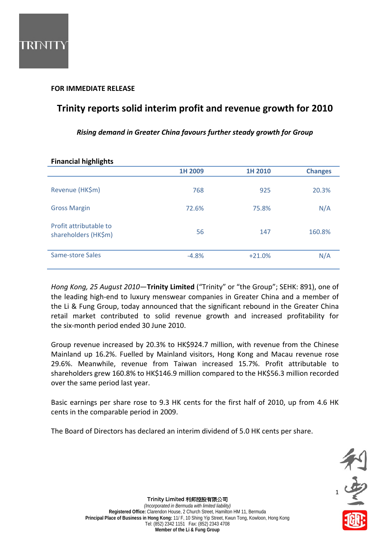## **FOR IMMEDIATE RELEASE**

# **Trinity reports solid interim profit and revenue growth for 2010**

*Rising demand in Greater China favours further steady growth for Group*

| <b>Financial highlights</b>                    |         |          |                |
|------------------------------------------------|---------|----------|----------------|
|                                                | 1H 2009 | 1H 2010  | <b>Changes</b> |
| Revenue (HK\$m)                                | 768     | 925      | 20.3%          |
| <b>Gross Margin</b>                            | 72.6%   | 75.8%    | N/A            |
| Profit attributable to<br>shareholders (HK\$m) | 56      | 147      | 160.8%         |
| Same-store Sales                               | $-4.8%$ | $+21.0%$ | N/A            |

## **Financial highlights**

*Hong Kong, 25 August 2010*—**Trinity Limited** ("Trinity" or "the Group"; SEHK: 891), one of the leading high‐end to luxury menswear companies in Greater China and a member of the Li & Fung Group, today announced that the significant rebound in the Greater China retail market contributed to solid revenue growth and increased profitability for the six‐month period ended 30 June 2010.

Group revenue increased by 20.3% to HK\$924.7 million, with revenue from the Chinese Mainland up 16.2%. Fuelled by Mainland visitors, Hong Kong and Macau revenue rose 29.6%. Meanwhile, revenue from Taiwan increased 15.7%. Profit attributable to shareholders grew 160.8% to HK\$146.9 million compared to the HK\$56.3 million recorded over the same period last year.

Basic earnings per share rose to 9.3 HK cents for the first half of 2010, up from 4.6 HK cents in the comparable period in 2009.

The Board of Directors has declared an interim dividend of 5.0 HK cents per share.



Trinity Limited 利邦控股有限公司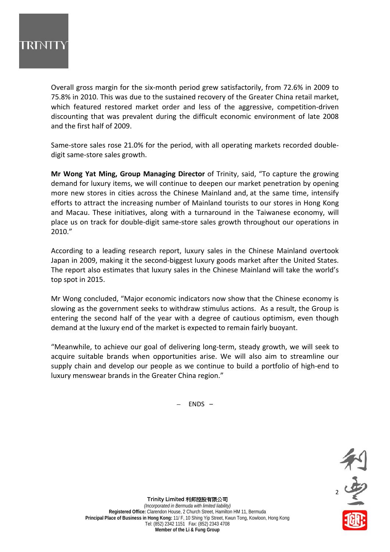

Overall gross margin for the six‐month period grew satisfactorily, from 72.6% in 2009 to 75.8% in 2010. This was due to the sustained recovery of the Greater China retail market, which featured restored market order and less of the aggressive, competition-driven discounting that was prevalent during the difficult economic environment of late 2008 and the first half of 2009.

Same‐store sales rose 21.0% for the period, with all operating markets recorded double‐ digit same‐store sales growth.

**Mr Wong Yat Ming, Group Managing Director** of Trinity, said, "To capture the growing demand for luxury items, we will continue to deepen our market penetration by opening more new stores in cities across the Chinese Mainland and, at the same time, intensify efforts to attract the increasing number of Mainland tourists to our stores in Hong Kong and Macau. These initiatives, along with a turnaround in the Taiwanese economy, will place us on track for double‐digit same‐store sales growth throughout our operations in 2010."

According to a leading research report, luxury sales in the Chinese Mainland overtook Japan in 2009, making it the second‐biggest luxury goods market after the United States. The report also estimates that luxury sales in the Chinese Mainland will take the world's top spot in 2015.

Mr Wong concluded, "Major economic indicators now show that the Chinese economy is slowing as the government seeks to withdraw stimulus actions. As a result, the Group is entering the second half of the year with a degree of cautious optimism, even though demand at the luxury end of the market is expected to remain fairly buoyant.

"Meanwhile, to achieve our goal of delivering long‐term, steady growth, we will seek to acquire suitable brands when opportunities arise. We will also aim to streamline our supply chain and develop our people as we continue to build a portfolio of high‐end to luxury menswear brands in the Greater China region."

– ENDS –



Trinity Limited 利邦控股有限公司